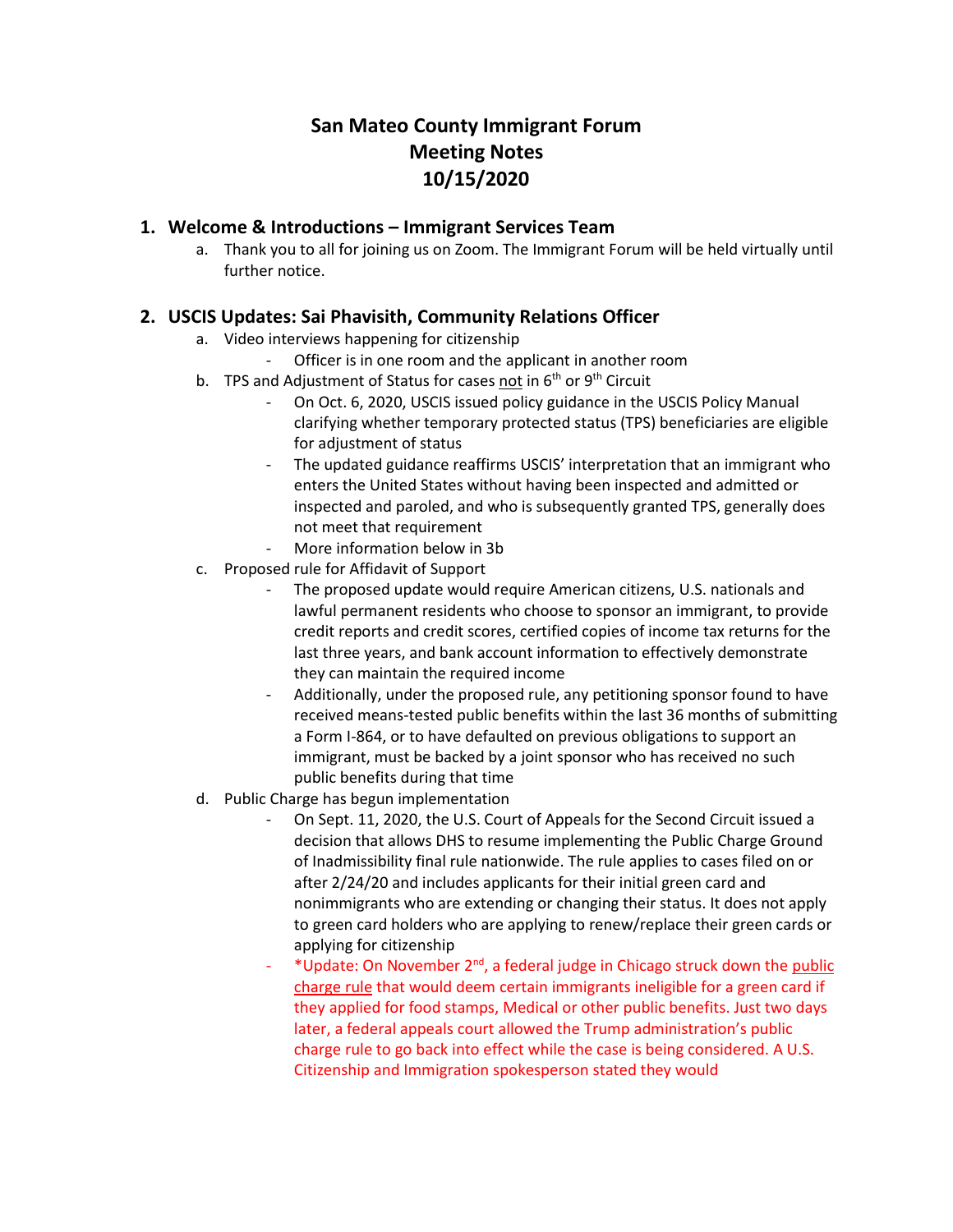# **San Mateo County Immigrant Forum Meeting Notes 10/15/2020**

#### **1. Welcome & Introductions – Immigrant Services Team**

a. Thank you to all for joining us on Zoom. The Immigrant Forum will be held virtually until further notice.

### **2. USCIS Updates: Sai Phavisith, Community Relations Officer**

- a. Video interviews happening for citizenship
	- Officer is in one room and the applicant in another room
- b. TPS and Adjustment of Status for cases not in  $6<sup>th</sup>$  or  $9<sup>th</sup>$  Circuit
	- On Oct. 6, 2020, USCIS issued policy guidance in the USCIS Policy Manual clarifying whether temporary protected status (TPS) beneficiaries are eligible for adjustment of status
		- The updated guidance reaffirms USCIS' interpretation that an immigrant who enters the United States without having been inspected and admitted or inspected and paroled, and who is subsequently granted TPS, generally does not meet that requirement
	- More information below in 3b
- c. Proposed rule for Affidavit of Support
	- The proposed update would require American citizens, U.S. nationals and lawful permanent residents who choose to sponsor an immigrant, to provide credit reports and credit scores, certified copies of income tax returns for the last three years, and bank account information to effectively demonstrate they can maintain the required income
	- Additionally, under the proposed rule, any petitioning sponsor found to have received means-tested public benefits within the last 36 months of submitting a Form I-864, or to have defaulted on previous obligations to support an immigrant, must be backed by a joint sponsor who has received no such public benefits during that time
- d. Public Charge has begun implementation
	- On Sept. 11, 2020, the U.S. Court of Appeals for the Second Circuit issued a decision that allows DHS to resume implementing the Public Charge Ground of Inadmissibility final rule nationwide. The rule applies to cases filed on or after 2/24/20 and includes applicants for their initial green card and nonimmigrants who are extending or changing their status. It does not apply to green card holders who are applying to renew/replace their green cards or applying for citizenship
	- \*Update: On November 2<sup>nd</sup>, a federal judge in Chicago struck down the public [charge rule](https://protect-us.mimecast.com/s/Uf1dCJ6KNDcPgDNMfGON24) that would deem certain immigrants ineligible for a green card if they applied for food stamps, Medical or other public benefits. Just two days later, a federal appeals court allowed the Trump administration's public charge rule to go back into effect while the case is being considered. A U.S. Citizenship and Immigration spokesperson stated they would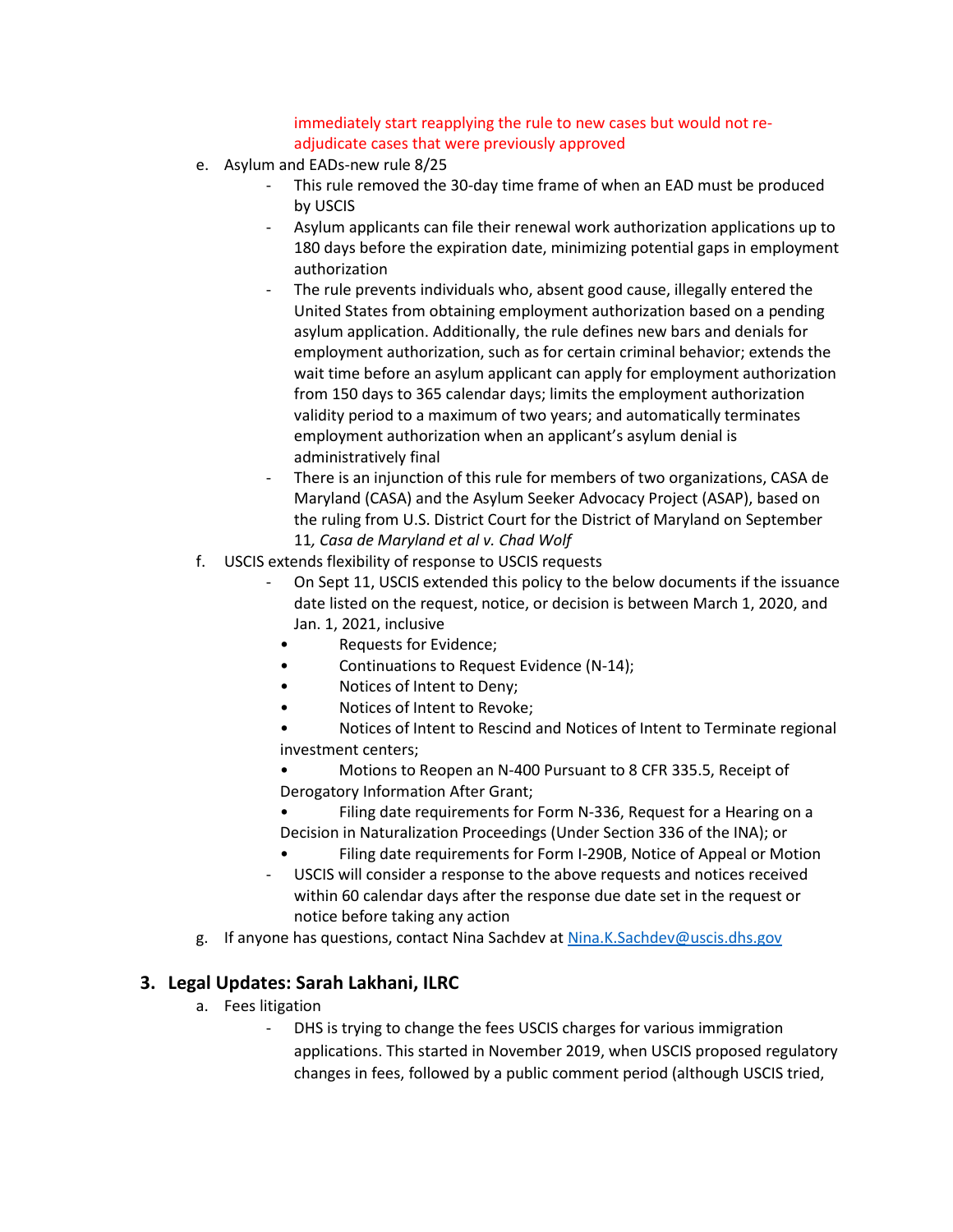immediately start reapplying the rule to new cases but would not readjudicate cases that were previously approved

- e. Asylum and EADs-new rule 8/25
	- This rule removed the 30-day time frame of when an EAD must be produced by USCIS
	- Asylum applicants can file their renewal work authorization applications up to 180 days before the expiration date, minimizing potential gaps in employment authorization
	- The rule prevents individuals who, absent good cause, illegally entered the United States from obtaining employment authorization based on a pending asylum application. Additionally, the rule defines new bars and denials for employment authorization, such as for certain criminal behavior; extends the wait time before an asylum applicant can apply for employment authorization from 150 days to 365 calendar days; limits the employment authorization validity period to a maximum of two years; and automatically terminates employment authorization when an applicant's asylum denial is administratively final
	- There is an injunction of this rule for members of two organizations, CASA de Maryland (CASA) and the Asylum Seeker Advocacy Project (ASAP), based on the ruling from U.S. District Court for the District of Maryland on September 11*, Casa de Maryland et al v. Chad Wolf*
- f. USCIS extends flexibility of response to USCIS requests
	- On Sept 11, USCIS extended this policy to the below documents if the issuance date listed on the request, notice, or decision is between March 1, 2020, and Jan. 1, 2021, inclusive
		- Requests for Evidence;
		- Continuations to Request Evidence (N-14);
		- Notices of Intent to Deny;
		- Notices of Intent to Revoke;
		- Notices of Intent to Rescind and Notices of Intent to Terminate regional investment centers;
		- Motions to Reopen an N-400 Pursuant to 8 CFR 335.5, Receipt of Derogatory Information After Grant;
		- Filing date requirements for Form N-336, Request for a Hearing on a Decision in Naturalization Proceedings (Under Section 336 of the INA); or
		- Filing date requirements for Form I-290B, Notice of Appeal or Motion
	- USCIS will consider a response to the above requests and notices received within 60 calendar days after the response due date set in the request or notice before taking any action
- g. If anyone has questions, contact Nina Sachdev a[t Nina.K.Sachdev@uscis.dhs.gov](mailto:Nina.K.Sachdev@uscis.dhs.gov)

### **3. Legal Updates: Sarah Lakhani, ILRC**

- a. Fees litigation
	- DHS is trying to change the fees USCIS charges for various immigration applications. This started in November 2019, when USCIS proposed regulatory changes in fees, followed by a public comment period (although USCIS tried,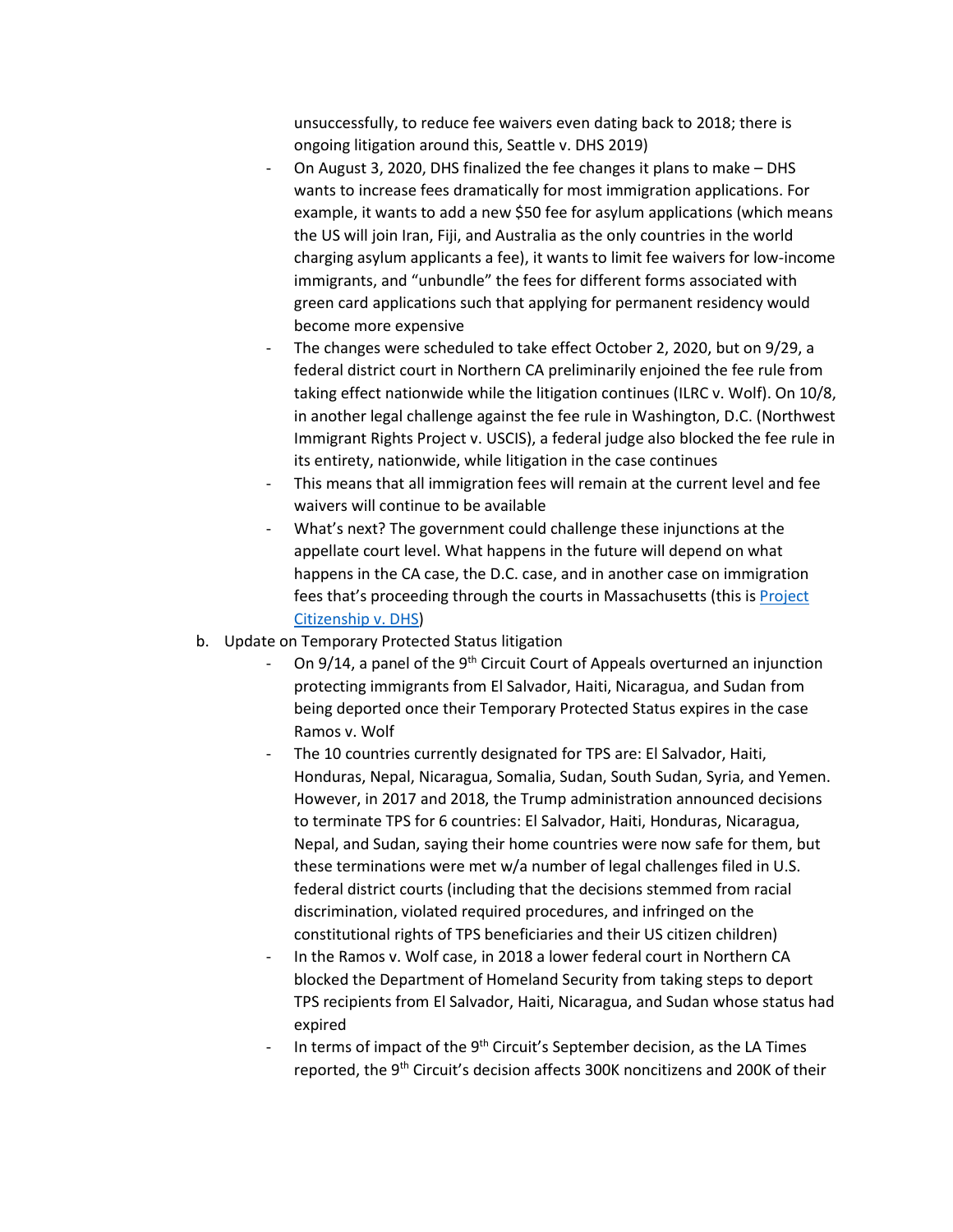unsuccessfully, to reduce fee waivers even dating back to 2018; there is ongoing litigation around this, Seattle v. DHS 2019)

- On August 3, 2020, DHS finalized the fee changes it plans to make DHS wants to increase fees dramatically for most immigration applications. For example, it wants to add a new \$50 fee for asylum applications (which means the US will join Iran, Fiji, and Australia as the only countries in the world charging asylum applicants a fee), it wants to limit fee waivers for low-income immigrants, and "unbundle" the fees for different forms associated with green card applications such that applying for permanent residency would become more expensive
- The changes were scheduled to take effect October 2, 2020, but on 9/29, a federal district court in Northern CA preliminarily enjoined the fee rule from taking effect nationwide while the litigation continues (ILRC v. Wolf). On 10/8, in another legal challenge against the fee rule in Washington, D.C. (Northwest Immigrant Rights Project v. USCIS), a federal judge also blocked the fee rule in its entirety, nationwide, while litigation in the case continues
- This means that all immigration fees will remain at the current level and fee waivers will continue to be available
- What's next? The government could challenge these injunctions at the appellate court level. What happens in the future will depend on what happens in the CA case, the D.C. case, and in another case on immigration fees that's proceeding through the courts in Massachusetts (this is Project [Citizenship v. DHS\)](https://www.ropesgray.com/en/newsroom/news/2019/11/Ropes-Gray-Project-Citizenship-Sue-USCIS-to-Protect-Access-to-Citizenship-for-Low-Income-Immigrants)
- b. Update on Temporary Protected Status litigation
	- On  $9/14$ , a panel of the 9<sup>th</sup> Circuit Court of Appeals overturned an injunction protecting immigrants from El Salvador, Haiti, Nicaragua, and Sudan from being deported once their Temporary Protected Status expires in the case Ramos v. Wolf
	- The 10 countries currently designated for TPS are: El Salvador, Haiti, Honduras, Nepal, Nicaragua, Somalia, Sudan, South Sudan, Syria, and Yemen. However, in 2017 and 2018, the Trump administration announced decisions to terminate TPS for 6 countries: El Salvador, Haiti, Honduras, Nicaragua, Nepal, and Sudan, saying their home countries were now safe for them, but these terminations were met w/a number of legal challenges filed in U.S. federal district courts (including that the decisions stemmed from racial discrimination, violated required procedures, and infringed on the constitutional rights of TPS beneficiaries and their US citizen children)
	- In the Ramos v. Wolf case, in 2018 a lower federal court in Northern CA blocked the Department of Homeland Security from taking steps to deport TPS recipients from El Salvador, Haiti, Nicaragua, and Sudan whose status had expired
	- In terms of impact of the 9<sup>th</sup> Circuit's September decision, as the LA Times reported, the 9<sup>th</sup> Circuit's decision affects 300K noncitizens and 200K of their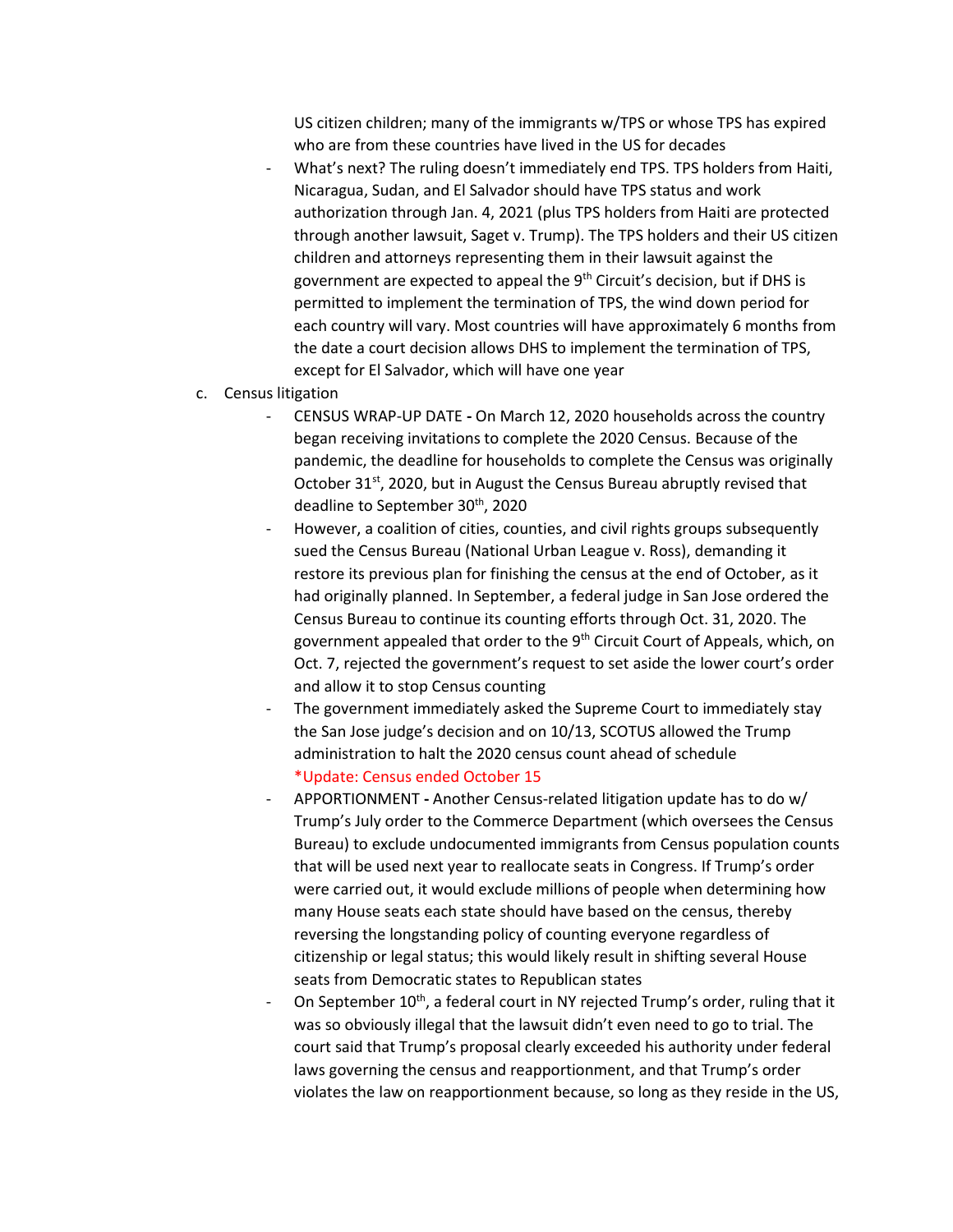US citizen children; many of the immigrants w/TPS or whose TPS has expired who are from these countries have lived in the US for decades

- What's next? The ruling doesn't immediately end TPS. TPS holders from Haiti, Nicaragua, Sudan, and El Salvador should have TPS status and work authorization through Jan. 4, 2021 (plus TPS holders from Haiti are protected through another lawsuit, Saget v. Trump). The TPS holders and their US citizen children and attorneys representing them in their lawsuit against the government are expected to appeal the 9th Circuit's decision, but if DHS is permitted to implement the termination of TPS, the wind down period for each country will vary. Most countries will have approximately 6 months from the date a court decision allows DHS to implement the termination of TPS, except for El Salvador, which will have one year
- c. Census litigation
	- CENSUS WRAP-UP DATE **-** On March 12, 2020 households across the country began receiving invitations to complete the 2020 Census. Because of the pandemic, the deadline for households to complete the Census was originally October 31<sup>st</sup>, 2020, but in August the Census Bureau abruptly revised that deadline to September 30<sup>th</sup>, 2020
	- However, a coalition of cities, counties, and civil rights groups subsequently sued the Census Bureau (National Urban League v. Ross), demanding it restore its previous plan for finishing the census at the end of October, as it had originally planned. In September, a federal judge in San Jose ordered the Census Bureau to continue its counting efforts through Oct. 31, 2020. The government appealed that order to the 9<sup>th</sup> Circuit Court of Appeals, which, on Oct. 7, rejected the government's request to set aside the lower court's order and allow it to stop Census counting
	- The government immediately asked the Supreme Court to immediately stay the San Jose judge's decision and on 10/13, SCOTUS allowed the Trump administration to halt the 2020 census count ahead of schedule \*Update: Census ended October 15
	- APPORTIONMENT **-** Another Census-related litigation update has to do w/ Trump's July order to the Commerce Department (which oversees the Census Bureau) to exclude undocumented immigrants from Census population counts that will be used next year to reallocate seats in Congress. If Trump's order were carried out, it would exclude millions of people when determining how many House seats each state should have based on the census, thereby reversing the longstanding policy of counting everyone regardless of citizenship or legal status; this would likely result in shifting several House seats from Democratic states to Republican states
	- On September 10<sup>th</sup>, a federal court in NY rejected Trump's order, ruling that it was so obviously illegal that the lawsuit didn't even need to go to trial. The court said that Trump's proposal clearly exceeded his authority under federal laws governing the census and reapportionment, and that Trump's order violates the law on reapportionment because, so long as they reside in the US,